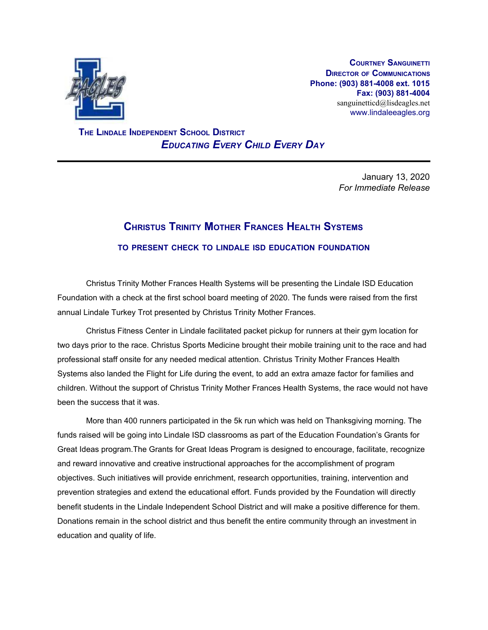

**COURTNEY SANGUINETTI DIRECTOR OF COMMUNICATIONS Phone: (903) 881-4008 ext. 1015 Fax: (903) 881-4004** sanguinetticd@lisdeagles.net www.lindaleeagles.org

 **THE LINDALE INDEPENDENT SCHOOL DISTRICT** *EDUCATING EVERY CHILD EVERY DAY*

> January 13, 2020 *For Immediate Release*

## **CHRISTUS TRINITY MOTHER FRANCES HEALTH SYSTEMS TO PRESENT CHECK TO LINDALE ISD EDUCATION FOUNDATION**

Christus Trinity Mother Frances Health Systems will be presenting the Lindale ISD Education Foundation with a check at the first school board meeting of 2020. The funds were raised from the first annual Lindale Turkey Trot presented by Christus Trinity Mother Frances.

Christus Fitness Center in Lindale facilitated packet pickup for runners at their gym location for two days prior to the race. Christus Sports Medicine brought their mobile training unit to the race and had professional staff onsite for any needed medical attention. Christus Trinity Mother Frances Health Systems also landed the Flight for Life during the event, to add an extra amaze factor for families and children. Without the support of Christus Trinity Mother Frances Health Systems, the race would not have been the success that it was.

More than 400 runners participated in the 5k run which was held on Thanksgiving morning. The funds raised will be going into Lindale ISD classrooms as part of the Education Foundation's Grants for Great Ideas program.The Grants for Great Ideas Program is designed to encourage, facilitate, recognize and reward innovative and creative instructional approaches for the accomplishment of program objectives. Such initiatives will provide enrichment, research opportunities, training, intervention and prevention strategies and extend the educational effort. Funds provided by the Foundation will directly benefit students in the Lindale Independent School District and will make a positive difference for them. Donations remain in the school district and thus benefit the entire community through an investment in education and quality of life.